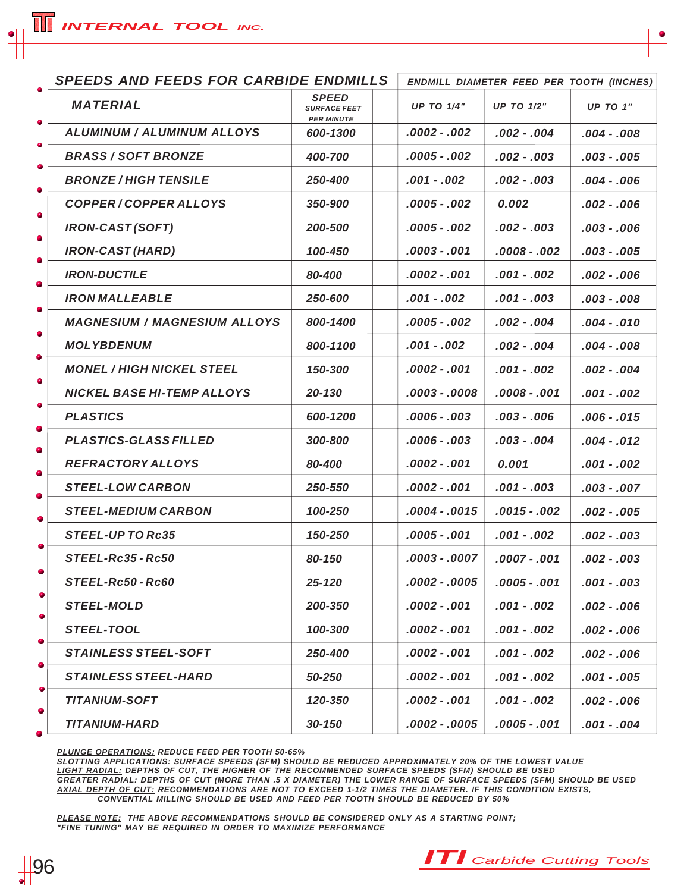|        | <b>SPEEDS AND FEEDS FOR CARBIDE ENDMILLS</b> |                                                          |  | <b>ENDMILL DIAMETER FEED PER TOOTH (INCHES)</b> |                   |                 |
|--------|----------------------------------------------|----------------------------------------------------------|--|-------------------------------------------------|-------------------|-----------------|
| ٠      | <b>MATERIAL</b>                              | <b>SPEED</b><br><b>SURFACE FEET</b><br><b>PER MINUTE</b> |  | <b>UP TO 1/4"</b>                               | <b>UP TO 1/2"</b> | <b>UP TO 1"</b> |
| ٠      | <b>ALUMINUM / ALUMINUM ALLOYS</b>            | 600-1300                                                 |  | .0002 - .002                                    | .002 - .004       | .004 - .008     |
| ۰      | <b>BRASS / SOFT BRONZE</b>                   | 400-700                                                  |  | .0005 - .002                                    | $.002-.003$       | .003 - .005     |
| ٠      | <b>BRONZE/HIGH TENSILE</b>                   | 250-400                                                  |  | $.001-.002$                                     | $.002-.003$       | $.004-.006$     |
| ٠      | COPPER/COPPER ALLOYS                         | 350-900                                                  |  | .0005 - .002                                    | 0.002             | $.002-.006$     |
| ٠      | <b>IRON-CAST (SOFT)</b>                      | 200-500                                                  |  | .0005 - .002                                    | .002 - .003       | .003 - .006     |
| ٠      | <b>IRON-CAST (HARD)</b>                      | 100-450                                                  |  | .0003 - .001                                    | $.0008-.002$      | .003 - .005     |
| ٠      | <b>IRON-DUCTILE</b>                          | 80-400                                                   |  | .0002 - .001                                    | .001 - .002       | $.002-.006$     |
| ٠      | <b>IRON MALLEABLE</b>                        | 250-600                                                  |  | .001 - .002                                     | $.001-.003$       | .003 - .008     |
| ٠      | <b>MAGNESIUM / MAGNESIUM ALLOYS</b>          | 800-1400                                                 |  | .0005 - .002                                    | .002 - .004       | .004 - .010     |
| ٠      | <b>MOLYBDENUM</b>                            | 800-1100                                                 |  | .001 - .002                                     | $.002 - .004$     | $.004-.008$     |
| ٠      | <b>MONEL / HIGH NICKEL STEEL</b>             | 150-300                                                  |  | .0002 - .001                                    | $.001-.002$       | $.002-.004$     |
| ٠      | <b>NICKEL BASE HI-TEMP ALLOYS</b>            | 20-130                                                   |  | .0003 - .0008                                   | $.0008-.001$      | .001 - .002     |
| 0      | <b>PLASTICS</b>                              | 600-1200                                                 |  | .0006 - .003                                    | $.003 - .006$     | .006 - .015     |
| ۰      | <b>PLASTICS-GLASS FILLED</b>                 | 300-800                                                  |  | .0006 - .003                                    | $.003-.004$       | .004 - .012     |
| 0      | <b>REFRACTORY ALLOYS</b>                     | 80-400                                                   |  | .0002 - .001                                    | 0.001             | $.001-.002$     |
| 0      | <b>STEEL-LOW CARBON</b>                      | 250-550                                                  |  | .0002 - .001                                    | $.001-.003$       | $.003-.007$     |
| ٠      | <b>STEEL-MEDIUM CARBON</b>                   | 100-250                                                  |  | .0004 - .0015                                   | .0015 - .002      | .002 - .005     |
|        | <b>STEEL-UP TO Rc35</b>                      | 150-250                                                  |  | .0005 - .001                                    | $.001-.002$       | $.002-.003$     |
|        | STEEL-Rc35 - Rc50                            | 80-150                                                   |  | $.0003 - .0007$                                 | .0007 - .001      | $.002-.003$     |
|        | STEEL-Rc50-Rc60                              | 25-120                                                   |  | .0002 - .0005                                   | $.0005 - .001$    | $.001-.003$     |
| ۰<br>0 | <b>STEEL-MOLD</b>                            | 200-350                                                  |  | $.0002-.001$                                    | $.001-.002$       | $.002-.006$     |
|        | STEEL-TOOL                                   | 100-300                                                  |  | .0002 - .001                                    | $.001-.002$       | $.002-.006$     |
| 0<br>0 | <b>STAINLESS STEEL-SOFT</b>                  | 250-400                                                  |  | .0002 - .001                                    | $.001-.002$       | $.002-.006$     |
|        | <b>STAINLESS STEEL-HARD</b>                  | 50-250                                                   |  | .0002 - .001                                    | $.001-.002$       | $.001-.005$     |
| ۰<br>۰ | <b>TITANIUM-SOFT</b>                         | 120-350                                                  |  | .0002 - .001                                    | $.001-.002$       | $.002-.006$     |
| 0      | <b>TITANIUM-HARD</b>                         | $30 - 150$                                               |  | .0002 - .0005                                   | $.0005 - .001$    | $.001-.004$     |

*PLUNGE OPERATIONS: REDUCE FEED PER TOOTH 50-65%*

*SLOTTING APPLICATIONS: SURFACE SPEEDS (SFM) SHOULD BE REDUCED APPROXIMATELY 20% OF THE LOWEST VALUE LIGHT RADIAL: DEPTHS OF CUT, THE HIGHER OF THE RECOMMENDED SURFACE SPEEDS (SFM) SHOULD BE USED GREATER RADIAL: DEPTHS OF CUT (MORE THAN .5 X DIAMETER) THE LOWER RANGE OF SURFACE SPEEDS (SFM) SHOULD BE USED AXIAL DEPTH OF CUT: RECOMMENDATIONS ARE NOT TO EXCEED 1-1/2 TIMES THE DIAMETER. IF THIS CONDITION EXISTS, CONVENTIAL MILLING SHOULD BE USED AND FEED PER TOOTH SHOULD BE REDUCED BY 50%*

*PLEASE NOTE: THE ABOVE RECOMMENDATIONS SHOULD BE CONSIDERED ONLY AS A STARTING POINT; "FINE TUNING" MAY BE REQUIRED IN ORDER TO MAXIMIZE PERFORMANCE*



96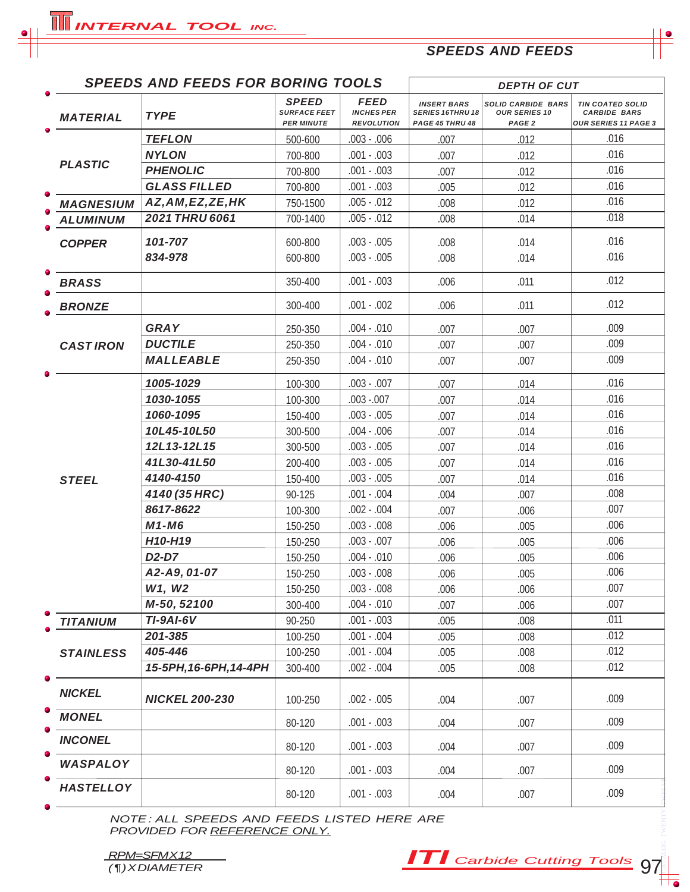# *SPEEDS AND FEEDS*

|                  | <b>SPEEDS AND FEEDS FOR BORING TOOLS</b> |                                                          |                                                       |                                                                  | <b>DEPTH OF CUT</b>                                                    |                                                                               |
|------------------|------------------------------------------|----------------------------------------------------------|-------------------------------------------------------|------------------------------------------------------------------|------------------------------------------------------------------------|-------------------------------------------------------------------------------|
| <b>MATERIAL</b>  | <b>TYPE</b>                              | <b>SPEED</b><br><b>SURFACE FEET</b><br><b>PER MINUTE</b> | <b>FEED</b><br><b>INCHES PER</b><br><b>REVOLUTION</b> | <b>INSERT BARS</b><br><b>SERIES 16THRU 18</b><br>PAGE 45 THRU 48 | <b>SOLID CARBIDE BARS</b><br><b>OUR SERIES 10</b><br>PAGE <sub>2</sub> | <b>TIN COATED SOLID</b><br><b>CARBIDE BARS</b><br><b>OUR SERIES 11 PAGE 3</b> |
|                  | <b>TEFLON</b>                            | 500-600                                                  | $.003 - .006$                                         | .007                                                             | .012                                                                   | .016                                                                          |
|                  | <b>NYLON</b>                             | 700-800                                                  | $.001 - .003$                                         | .007                                                             | .012                                                                   | .016                                                                          |
| <b>PLASTIC</b>   | <b>PHENOLIC</b>                          | 700-800                                                  | $.001 - .003$                                         | .007                                                             | .012                                                                   | .016                                                                          |
|                  | <b>GLASS FILLED</b>                      | 700-800                                                  | $.001 - .003$                                         | .005                                                             | .012                                                                   | .016                                                                          |
| <b>MAGNESIUM</b> | AZ, AM, EZ, ZE, HK                       | 750-1500                                                 | $.005 - .012$                                         | .008                                                             | .012                                                                   | .016                                                                          |
| <b>ALUMINUM</b>  | 2021 THRU 6061                           | 700-1400                                                 | $.005 - .012$                                         | .008                                                             | .014                                                                   | .018                                                                          |
| <b>COPPER</b>    | 101-707                                  | 600-800                                                  | $.003 - .005$                                         | .008                                                             | .014                                                                   | .016                                                                          |
|                  | 834-978                                  | 600-800                                                  | $.003 - .005$                                         | .008                                                             | .014                                                                   | .016                                                                          |
| <b>BRASS</b>     |                                          | 350-400                                                  | $.001 - .003$                                         | .006                                                             | .011                                                                   | .012                                                                          |
| <b>BRONZE</b>    |                                          | 300-400                                                  | $.001 - .002$                                         | .006                                                             | .011                                                                   | .012                                                                          |
|                  | <b>GRAY</b>                              | 250-350                                                  | $.004-.010$                                           | .007                                                             | .007                                                                   | .009                                                                          |
| <b>CASTIRON</b>  | <b>DUCTILE</b>                           | 250-350                                                  | $.004 - .010$                                         | .007                                                             | .007                                                                   | .009                                                                          |
|                  | <b>MALLEABLE</b>                         | 250-350                                                  | $.004 - .010$                                         | .007                                                             | .007                                                                   | .009                                                                          |
|                  | 1005-1029                                | 100-300                                                  | $.003 - .007$                                         | .007                                                             | .014                                                                   | .016                                                                          |
|                  | 1030-1055                                | 100-300                                                  | $.003 - .007$                                         | .007                                                             | .014                                                                   | .016                                                                          |
|                  | 1060-1095                                | 150-400                                                  | $.003 - .005$                                         | .007                                                             | .014                                                                   | .016                                                                          |
|                  | 10L45-10L50                              | 300-500                                                  | $.004 - .006$                                         | .007                                                             | .014                                                                   | .016                                                                          |
|                  | 12L13-12L15                              | 300-500                                                  | $.003 - .005$                                         | .007                                                             | .014                                                                   | .016                                                                          |
|                  | 41L30-41L50                              | 200-400                                                  | $.003 - .005$                                         | .007                                                             | .014                                                                   | .016                                                                          |
| <b>STEEL</b>     | 4140-4150                                | 150-400                                                  | $.003 - .005$                                         | .007                                                             | .014                                                                   | .016                                                                          |
|                  | 4140 (35 HRC)                            | 90-125                                                   | $.001 - .004$                                         | .004                                                             | .007                                                                   | .008                                                                          |
|                  | 8617-8622                                | 100-300                                                  | $.002 - .004$                                         | .007                                                             | .006                                                                   | .007                                                                          |
|                  | $M1 - M6$                                | 150-250                                                  | $.003 - .008$                                         | .006                                                             | .005                                                                   | .006                                                                          |
|                  | H <sub>10</sub> -H <sub>19</sub>         | 150-250                                                  | $.003 - .007$                                         | .006                                                             | .005                                                                   | .006                                                                          |
|                  | D <sub>2</sub> -D <sub>7</sub>           | 150-250                                                  | $.004 - .010$                                         | .006                                                             | .005                                                                   | .006                                                                          |
|                  | A2-A9, 01-07                             | 150-250                                                  | $.003 - .008$                                         | .006                                                             | .005                                                                   | .006                                                                          |
|                  | W1, W2                                   | 150-250                                                  | $.003 - .008$                                         | .006                                                             | .006                                                                   | .007                                                                          |
|                  | M-50, 52100                              | 300-400                                                  | $.004 - .010$                                         | .007                                                             | .006                                                                   | .007                                                                          |
| <b>TITANIUM</b>  | <b>TI-9AI-6V</b>                         | 90-250                                                   | $.001 - .003$                                         | .005                                                             | .008                                                                   | .011                                                                          |
|                  | 201-385                                  | 100-250                                                  | $.001 - .004$                                         | .005                                                             | .008                                                                   | .012                                                                          |
| <b>STAINLESS</b> | 405-446                                  | 100-250                                                  | $.001 - .004$                                         | .005                                                             | .008                                                                   | .012                                                                          |
|                  | 15-5PH, 16-6PH, 14-4PH                   | 300-400                                                  | $.002 - .004$                                         | .005                                                             | .008                                                                   | .012                                                                          |
| <b>NICKEL</b>    | <b>NICKEL 200-230</b>                    | 100-250                                                  | $.002 - .005$                                         | .004                                                             | .007                                                                   | .009                                                                          |
| <b>MONEL</b>     |                                          | 80-120                                                   | $.001 - .003$                                         | .004                                                             | .007                                                                   | .009                                                                          |
| <b>INCONEL</b>   |                                          | 80-120                                                   | $.001 - .003$                                         | .004                                                             | .007                                                                   | .009                                                                          |
| WASPALOY         |                                          | 80-120                                                   | $.001 - .003$                                         | .004                                                             | .007                                                                   | .009                                                                          |
|                  |                                          | 80-120                                                   | $.001 - .003$                                         | .004                                                             | .007                                                                   | .009                                                                          |

*RPM=SFMX12*<br>(¶)*XDIAMETER* 

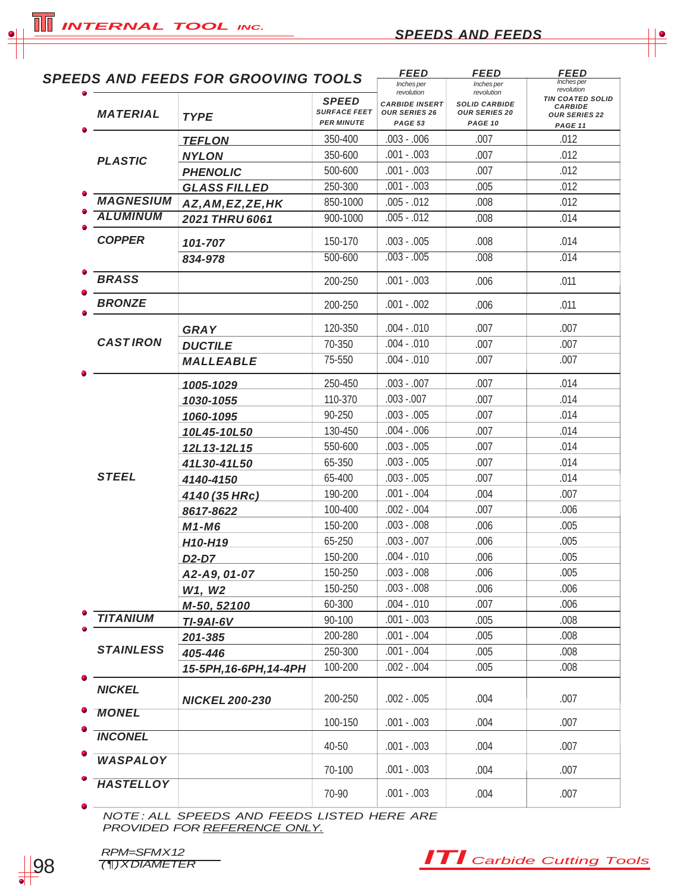*INTERNAL TOOL INC.*

|                  | <b>SPEEDS AND FEEDS FOR GROOVING TOOLS</b> |                                                   | <b>FEED</b>                                              | <b>FEED</b>                                             | <b>FEED</b>                                                                  |
|------------------|--------------------------------------------|---------------------------------------------------|----------------------------------------------------------|---------------------------------------------------------|------------------------------------------------------------------------------|
|                  |                                            |                                                   | Inches per<br>revolution                                 | Inches per<br>revolution                                | Inches per<br>revolution                                                     |
| <b>MATERIAL</b>  | <b>TYPE</b>                                | SPEED<br><b>SURFACE FEET</b><br><b>PER MINUTE</b> | <b>CARBIDE INSERT</b><br><b>OUR SERIES 26</b><br>PAGE 53 | <b>SOLID CARBIDE</b><br><b>OUR SERIES 20</b><br>PAGE 10 | <b>TIN COATED SOLID</b><br><b>CARBIDE</b><br><b>OUR SERIES 22</b><br>PAGE 11 |
|                  | <b>TEFLON</b>                              | 350-400                                           | $.003 - .006$                                            | .007                                                    | .012                                                                         |
| <b>PLASTIC</b>   | <b>NYLON</b>                               | 350-600                                           | $.001 - .003$                                            | .007                                                    | .012                                                                         |
|                  | <b>PHENOLIC</b>                            | 500-600                                           | $.001 - .003$                                            | .007                                                    | .012                                                                         |
|                  | <b>GLASS FILLED</b>                        | 250-300                                           | $.001 - .003$                                            | .005                                                    | .012                                                                         |
| <b>MAGNESIUM</b> | AZ, AM, EZ, ZE, HK                         | 850-1000                                          | $.005 - .012$                                            | .008                                                    | .012                                                                         |
| <b>ALUMINUM</b>  | 2021 THRU 6061                             | 900-1000                                          | $.005 - .012$                                            | .008                                                    | .014                                                                         |
| <b>COPPER</b>    | 101-707                                    | 150-170                                           | $.003 - .005$                                            | .008                                                    | .014                                                                         |
|                  | 834-978                                    | 500-600                                           | $.003 - .005$                                            | .008                                                    | .014                                                                         |
| <b>BRASS</b>     |                                            | 200-250                                           | $.001 - .003$                                            | .006                                                    | .011                                                                         |
| <b>BRONZE</b>    |                                            | 200-250                                           | $.001 - .002$                                            | .006                                                    | .011                                                                         |
|                  | <b>GRAY</b>                                | 120-350                                           | $.004 - .010$                                            | .007                                                    | .007                                                                         |
| <b>CASTIRON</b>  | <b>DUCTILE</b>                             | 70-350                                            | $.004 - .010$                                            | .007                                                    | .007                                                                         |
|                  | <b>MALLEABLE</b>                           | 75-550                                            | $.004 - .010$                                            | .007                                                    | .007                                                                         |
|                  | 1005-1029                                  | 250-450                                           | $.003 - .007$                                            | .007                                                    | .014                                                                         |
|                  | 1030-1055                                  | 110-370                                           | $.003 - .007$                                            | .007                                                    | .014                                                                         |
|                  | 1060-1095                                  | 90-250                                            | $.003 - .005$                                            | .007                                                    | .014                                                                         |
|                  | 10L45-10L50                                | 130-450                                           | $.004 - .006$                                            | .007                                                    | .014                                                                         |
|                  | 12L13-12L15                                | 550-600                                           | $.003 - .005$                                            | .007                                                    | .014                                                                         |
|                  | 41L30-41L50                                | 65-350                                            | $.003 - .005$                                            | .007                                                    | .014                                                                         |
| <b>STEEL</b>     | 4140-4150                                  | 65-400                                            | $.003 - .005$                                            | .007                                                    | .014                                                                         |
|                  | 4140 (35 HRc)                              | 190-200                                           | $.001 - .004$                                            | .004                                                    | .007                                                                         |
|                  | 8617-8622                                  | 100-400                                           | $.002 - .004$                                            | .007                                                    | .006                                                                         |
|                  | M1-M6                                      | 150-200                                           | $.003 - .008$                                            | .006                                                    | .005                                                                         |
|                  | <u>H10-H19</u>                             | 65-250                                            | $.003 - .007$                                            | .006                                                    | .005                                                                         |
|                  | $D2-D7$                                    | 150-200                                           | $.004 - .010$                                            | .006                                                    | .005                                                                         |
|                  | A2-A9, 01-07                               | 150-250                                           | $.003 - .008$                                            | .006                                                    | .005                                                                         |
|                  | W1, W2                                     | 150-250                                           | $.003 - .008$                                            | .006                                                    | .006                                                                         |
|                  | M-50, 52100                                | 60-300                                            | $.004 - .010$                                            | .007                                                    | .006                                                                         |
| <b>TITANIUM</b>  | <b>TI-9AI-6V</b>                           | 90-100                                            | $.001 - .003$                                            | .005                                                    | .008                                                                         |
|                  | 201-385                                    | 200-280                                           | $.001 - .004$                                            | .005                                                    | .008                                                                         |
| <b>STAINLESS</b> | 405-446                                    | 250-300                                           | $.001 - .004$                                            | .005                                                    | .008                                                                         |
|                  | 15-5PH, 16-6PH, 14-4PH                     | 100-200                                           | $.002 - .004$                                            | .005                                                    | .008                                                                         |
| <b>NICKEL</b>    | <b>NICKEL 200-230</b>                      | 200-250                                           | $.002 - .005$                                            | .004                                                    | .007                                                                         |
| <b>MONEL</b>     |                                            | 100-150                                           | $.001 - .003$                                            | .004                                                    | .007                                                                         |
| <b>INCONEL</b>   |                                            | 40-50                                             | $.001 - .003$                                            | .004                                                    | .007                                                                         |
| <b>WASPALOY</b>  |                                            | 70-100                                            | $.001 - .003$                                            | .004                                                    | .007                                                                         |
| <b>HASTELLOY</b> |                                            | 70-90                                             | $.001 - .003$                                            | .004                                                    | .007                                                                         |

 *NOTE : ALL SPEEDS AND FEEDS LISTED HERE ARE PROVIDED FOR REFERENCE ONLY.*



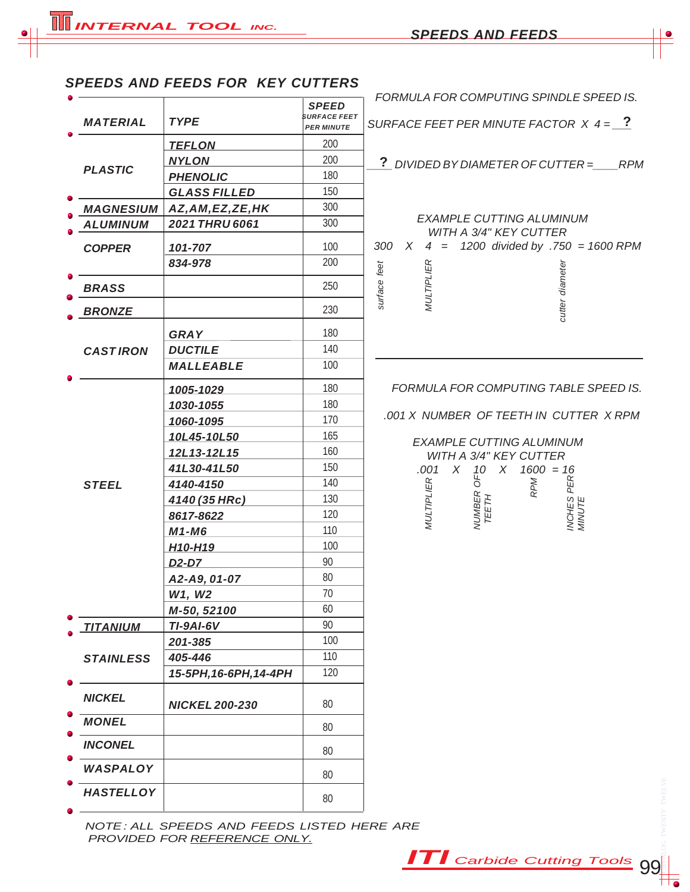## *SPEEDS AND FEEDS FOR KEY CUTTERS*

| <b>MATERIAL</b>  | <b>TYPE</b>                      | SPEED<br><b>SURFACE FEET</b><br><b>PER MINUTE</b> |
|------------------|----------------------------------|---------------------------------------------------|
|                  | <b>TEFLON</b>                    | 200                                               |
|                  | <b>NYLON</b>                     | 200                                               |
| <b>PLASTIC</b>   | <b>PHENOLIC</b>                  | 180                                               |
|                  | <b>GLASS FILLED</b>              | 150                                               |
| <b>MAGNESIUM</b> | AZ, AM, EZ, ZE, HK               | 300                                               |
| <b>ALUMINUM</b>  | <b>2021 THRU 6061</b>            | 300                                               |
| <b>COPPER</b>    | 101-707                          | 100                                               |
|                  | 834-978                          | 200                                               |
|                  |                                  |                                                   |
| <b>BRASS</b>     |                                  | 250                                               |
| <b>BRONZE</b>    |                                  | 230                                               |
|                  | <b>GRAY</b>                      | 180                                               |
| <b>CASTIRON</b>  | <b>DUCTILE</b>                   | 140                                               |
|                  | <b>MALLEABLE</b>                 | 100                                               |
|                  | <u>1005-1029</u>                 | 180                                               |
|                  | 1030-1055                        | 180                                               |
|                  | 1060-1095                        | 170                                               |
|                  | 10L45-10L50                      | 165                                               |
|                  | 12L13-12L15                      | 160                                               |
|                  | 41L30-41L50                      | 150                                               |
| <b>STEEL</b>     | 4140-4150                        | 140                                               |
|                  | 4140 (35 HRc)                    | 130                                               |
|                  | 8617-8622                        | 120                                               |
|                  | M1-M6                            | 110                                               |
|                  | H <sub>10</sub> -H <sub>19</sub> | 100                                               |
|                  | <u>D2-D7___</u>                  | 90                                                |
|                  | A2-A9, 01-07                     | 80                                                |
|                  | W1, W2                           | 70                                                |
|                  | M-50, 52100                      | 60                                                |
| <b>TITANIUM</b>  | <b>TI-9AI-6V</b>                 | 90                                                |
|                  | 201-385                          | 100                                               |
| <b>STAINLESS</b> | 405-446                          | 110                                               |
|                  | 15-5PH, 16-6PH, 14-4PH           | 120                                               |
| <b>NICKEL</b>    | <b>NICKEL 200-230</b>            | 80                                                |
| <b>MONEL</b>     |                                  | 80                                                |
| <b>INCONEL</b>   |                                  | 80                                                |
| WASPALOY         |                                  | 80                                                |
| <b>HASTELLOY</b> |                                  | 80                                                |

 *FORMULA FOR COMPUTING SPINDLE SPEED IS.*

*SURFACE FEET PER MINUTE FACTOR X 4 = \_\_\_* **?**

*\_\_\_\_ DIVIDED BY DIAMETER OF CUTTER =\_\_\_\_RPM* **?**

### *EXAMPLE CUTTING ALUMINUM WITH A 3/4" KEY CUTTER 300 X 4 = 1200 divided by .750 = 1600 RPM*

| surface feet | <b>MULTIPLIEI</b> | cutter diameter |  |
|--------------|-------------------|-----------------|--|

### *FORMULA FOR COMPUTING TABLE SPEED IS.*

*.001 X NUMBER OF TEETH IN CUTTER X RPM*

# *EXAMPLE CUTTING ALUMINUM WITH A 3/4" KEY CUTTER .001 X 10 X 1600 = 16 MULTIPLIER*<br>NUMBER OF<br>TEETH<br>RPM *INCHES PER MINUTE*

 *NOTE : ALL SPEEDS AND FEEDS LISTED HERE ARE PROVIDED FOR REFERENCE ONLY.*

*ITI Carbide Cutting Tools* 99

CATALOG TWENTY TWELVE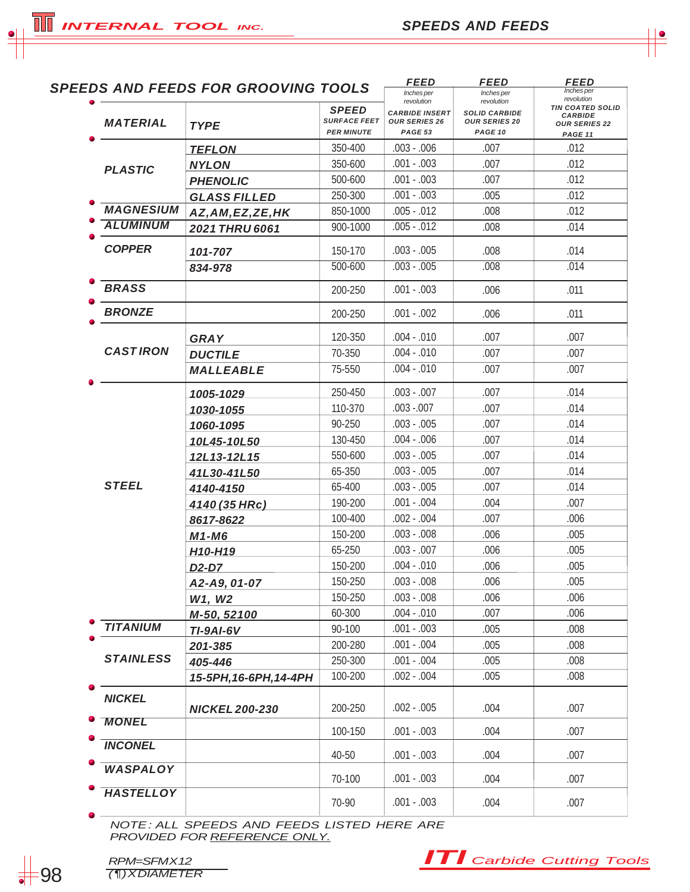| <b>INTERNAL TOOL INC.</b> |  |
|---------------------------|--|
|                           |  |

**TH** 

| <b>MATERIAL</b>  | <b>SPEEDS AND FEEDS FOR GROOVING TOOLS</b><br><b>TYPE</b> | <b>SPEED</b><br><b>SURFACE FEET</b> | <b>FEED</b><br>Inches per<br>revolution<br><b>CARBIDE INSERT</b><br><b>OUR SERIES 26</b> | <b>FEED</b><br>Inches per<br>revolution<br><b>SOLID CARBIDE</b><br><b>OUR SERIES 20</b> | <i>FEED</i><br>Inches per<br>revolution<br><b>TIN COATED SOLID</b><br><b>CARBIDE</b><br><b>OUR SERIES 22</b> |
|------------------|-----------------------------------------------------------|-------------------------------------|------------------------------------------------------------------------------------------|-----------------------------------------------------------------------------------------|--------------------------------------------------------------------------------------------------------------|
|                  |                                                           | <b>PER MINUTE</b><br>350-400        | PAGE 53<br>$.003 - .006$                                                                 | PAGE 10<br>.007                                                                         | PAGE 11<br>.012                                                                                              |
|                  | <b>TEFLON</b>                                             | 350-600                             | $.001 - .003$                                                                            | .007                                                                                    | .012                                                                                                         |
| <b>PLASTIC</b>   | <b>NYLON</b>                                              | 500-600                             | $.001 - .003$                                                                            | .007                                                                                    | .012                                                                                                         |
|                  | <b>PHENOLIC</b>                                           | 250-300                             | $.001 - .003$                                                                            | .005                                                                                    | .012                                                                                                         |
| <b>MAGNESIUM</b> | <b>GLASS FILLED</b>                                       | 850-1000                            | $.005 - .012$                                                                            | .008                                                                                    | .012                                                                                                         |
| <b>ALUMINUM</b>  | AZ, AM, EZ, ZE, HK                                        | 900-1000                            | $.005 - .012$                                                                            | .008                                                                                    | .014                                                                                                         |
|                  | 2021 THRU 6061                                            |                                     |                                                                                          |                                                                                         |                                                                                                              |
| <b>COPPER</b>    | 101-707                                                   | 150-170                             | $.003 - .005$                                                                            | .008                                                                                    | .014                                                                                                         |
|                  | 834-978                                                   | 500-600                             | $.003 - .005$                                                                            | .008                                                                                    | .014                                                                                                         |
| <b>BRASS</b>     |                                                           | 200-250                             | $.001 - .003$                                                                            | .006                                                                                    | .011                                                                                                         |
|                  |                                                           |                                     |                                                                                          |                                                                                         |                                                                                                              |
| <b>BRONZE</b>    |                                                           | 200-250                             | $.001 - .002$                                                                            | .006                                                                                    | .011                                                                                                         |
|                  | <b>GRAY</b>                                               | 120-350                             | $.004 - .010$                                                                            | .007                                                                                    | .007                                                                                                         |
| <b>CASTIRON</b>  | <b>DUCTILE</b>                                            | 70-350                              | $.004 - .010$                                                                            | .007                                                                                    | .007                                                                                                         |
|                  | <b>MALLEABLE</b>                                          | 75-550                              | $.004 - .010$                                                                            | .007                                                                                    | .007                                                                                                         |
|                  |                                                           | 250-450                             | $.003 - .007$                                                                            | .007                                                                                    | .014                                                                                                         |
|                  | 1005-1029                                                 | 110-370                             | $.003 - .007$                                                                            | .007                                                                                    | .014                                                                                                         |
|                  | 1030-1055                                                 | 90-250                              | $.003 - .005$                                                                            | .007                                                                                    | .014                                                                                                         |
|                  | 1060-1095                                                 | 130-450                             | $.004 - .006$                                                                            | .007                                                                                    | .014                                                                                                         |
|                  | 10L45-10L50<br>12L13-12L15                                | 550-600                             | $.003 - .005$                                                                            | .007                                                                                    | .014                                                                                                         |
| <b>STEEL</b>     | 41L30-41L50                                               | 65-350                              | $.003 - .005$                                                                            | .007                                                                                    | .014                                                                                                         |
|                  | 4140-4150                                                 | 65-400                              | $.003 - .005$                                                                            | .007                                                                                    | .014                                                                                                         |
|                  | 4140 (35 HRc)                                             | 190-200                             | $.001 - .004$                                                                            | .004                                                                                    | .007                                                                                                         |
|                  | 8617-8622                                                 | 100-400                             | $.002 - .004$                                                                            | .007                                                                                    | .006                                                                                                         |
|                  | $M1-M6$                                                   | 150-200                             | $.003 - .008$                                                                            | .006                                                                                    | .005                                                                                                         |
|                  | H <sub>10</sub> -H <sub>19</sub>                          | 65-250                              | $.003 - .007$                                                                            | .006                                                                                    | .005                                                                                                         |
|                  | D <sub>2</sub> -D <sub>7</sub>                            | 150-200                             | $.004 - .010$                                                                            | .006                                                                                    | .005                                                                                                         |
|                  | A2-A9, 01-07                                              | 150-250                             | $.003 - .008$                                                                            | .006                                                                                    | .005                                                                                                         |
|                  | W1, W2                                                    | 150-250                             | $.003 - .008$                                                                            | .006                                                                                    | .006                                                                                                         |
|                  | M-50, 52100                                               | 60-300                              | $.004 - .010$                                                                            | .007                                                                                    | .006                                                                                                         |
| <b>TITANIUM</b>  | <b>TI-9AI-6V</b>                                          | 90-100                              | $.001 - .003$                                                                            | .005                                                                                    | .008                                                                                                         |
|                  | 201-385                                                   | 200-280                             | $.001 - .004$                                                                            | .005                                                                                    | .008                                                                                                         |
| <b>STAINLESS</b> | 405-446                                                   | 250-300                             | $.001 - .004$                                                                            | .005                                                                                    | .008                                                                                                         |
|                  | 15-5PH, 16-6PH, 14-4PH                                    | 100-200                             | $.002 - .004$                                                                            | .005                                                                                    | .008                                                                                                         |
| <b>NICKEL</b>    | <b>NICKEL 200-230</b>                                     | 200-250                             | $.002 - .005$                                                                            | .004                                                                                    | .007                                                                                                         |
| <b>MONEL</b>     |                                                           | 100-150                             | $.001 - .003$                                                                            | .004                                                                                    | .007                                                                                                         |
| <b>INCONEL</b>   |                                                           | 40-50                               | $.001 - .003$                                                                            | .004                                                                                    | .007                                                                                                         |
| <b>WASPALOY</b>  |                                                           | 70-100                              | $.001 - .003$                                                                            | .004                                                                                    | .007                                                                                                         |
| <b>HASTELLOY</b> |                                                           | 70-90                               | $.001 - .003$                                                                            | .004                                                                                    | .007                                                                                                         |
|                  |                                                           |                                     |                                                                                          |                                                                                         |                                                                                                              |

 *NOTE : ALL SPEEDS AND FEEDS LISTED HERE ARE PROVIDED FOR REFERENCE ONLY.*